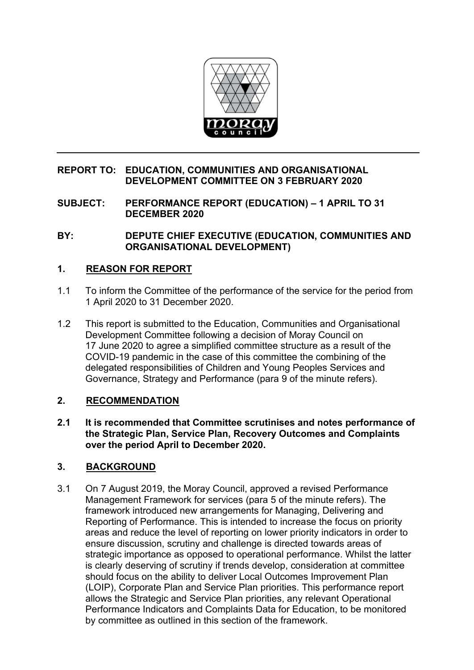

#### **REPORT TO: EDUCATION, COMMUNITIES AND ORGANISATIONAL DEVELOPMENT COMMITTEE ON 3 FEBRUARY 2020**

**SUBJECT: PERFORMANCE REPORT (EDUCATION) – 1 APRIL TO 31 DECEMBER 2020** 

**BY: DEPUTE CHIEF EXECUTIVE (EDUCATION, COMMUNITIES AND ORGANISATIONAL DEVELOPMENT)** 

## **1. REASON FOR REPORT**

- 1.1 To inform the Committee of the performance of the service for the period from 1 April 2020 to 31 December 2020.
- 1.2 This report is submitted to the Education, Communities and Organisational Development Committee following a decision of Moray Council on 17 June 2020 to agree a simplified committee structure as a result of the COVID-19 pandemic in the case of this committee the combining of the delegated responsibilities of Children and Young Peoples Services and Governance, Strategy and Performance (para 9 of the minute refers).

## **2. RECOMMENDATION**

**2.1 It is recommended that Committee scrutinises and notes performance of the Strategic Plan, Service Plan, Recovery Outcomes and Complaints over the period April to December 2020.** 

## **3. BACKGROUND**

3.1 On 7 August 2019, the Moray Council, approved a revised Performance Management Framework for services (para 5 of the minute refers). The framework introduced new arrangements for Managing, Delivering and Reporting of Performance. This is intended to increase the focus on priority areas and reduce the level of reporting on lower priority indicators in order to ensure discussion, scrutiny and challenge is directed towards areas of strategic importance as opposed to operational performance. Whilst the latter is clearly deserving of scrutiny if trends develop, consideration at committee should focus on the ability to deliver Local Outcomes Improvement Plan (LOIP), Corporate Plan and Service Plan priorities. This performance report allows the Strategic and Service Plan priorities, any relevant Operational Performance Indicators and Complaints Data for Education, to be monitored by committee as outlined in this section of the framework.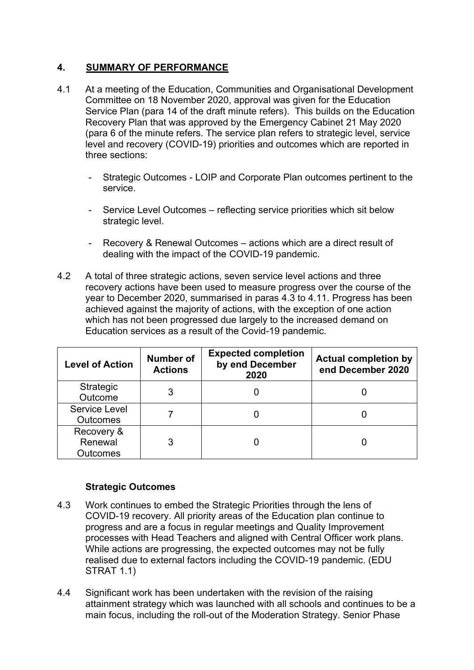## **4. SUMMARY OF PERFORMANCE**

- 4.1 At a meeting of the Education, Communities and Organisational Development Committee on 18 November 2020, approval was given for the Education Service Plan (para 14 of the draft minute refers). This builds on the Education Recovery Plan that was approved by the Emergency Cabinet 21 May 2020 (para 6 of the minute refers. The service plan refers to strategic level, service level and recovery (COVID-19) priorities and outcomes which are reported in three sections:
	- Strategic Outcomes LOIP and Corporate Plan outcomes pertinent to the service.
	- Service Level Outcomes reflecting service priorities which sit below strategic level.
	- Recovery & Renewal Outcomes actions which are a direct result of dealing with the impact of the COVID-19 pandemic.
- 4.2 A total of three strategic actions, seven service level actions and three recovery actions have been used to measure progress over the course of the year to December 2020, summarised in paras 4.3 to 4.11. Progress has been achieved against the majority of actions, with the exception of one action which has not been progressed due largely to the increased demand on Education services as a result of the Covid-19 pandemic.

| <b>Level of Action</b>                   | <b>Number of</b><br><b>Actions</b> | <b>Expected completion</b><br>by end December<br>2020 | <b>Actual completion by</b><br>end December 2020 |
|------------------------------------------|------------------------------------|-------------------------------------------------------|--------------------------------------------------|
| Strategic<br>Outcome                     |                                    |                                                       |                                                  |
| Service Level<br><b>Outcomes</b>         |                                    |                                                       |                                                  |
| Recovery &<br>Renewal<br><b>Outcomes</b> |                                    |                                                       |                                                  |

## **Strategic Outcomes**

- 4.3 Work continues to embed the Strategic Priorities through the lens of COVID-19 recovery. All priority areas of the Education plan continue to progress and are a focus in regular meetings and Quality Improvement processes with Head Teachers and aligned with Central Officer work plans. While actions are progressing, the expected outcomes may not be fully realised due to external factors including the COVID-19 pandemic. (EDU STRAT 1.1)
- 4.4 Significant work has been undertaken with the revision of the raising attainment strategy which was launched with all schools and continues to be a main focus, including the roll-out of the Moderation Strategy. Senior Phase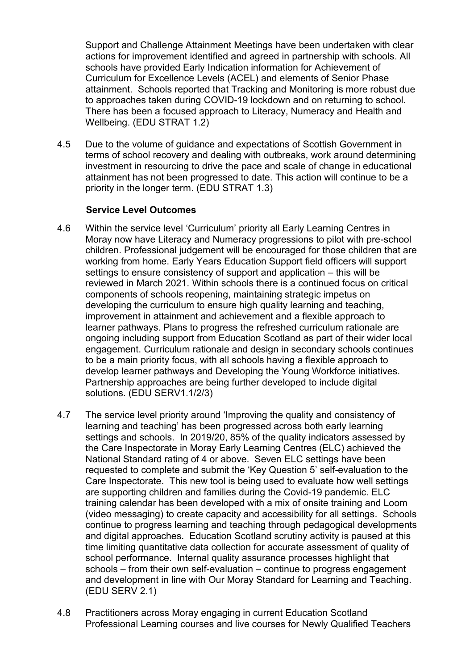Support and Challenge Attainment Meetings have been undertaken with clear actions for improvement identified and agreed in partnership with schools. All schools have provided Early Indication information for Achievement of Curriculum for Excellence Levels (ACEL) and elements of Senior Phase attainment. Schools reported that Tracking and Monitoring is more robust due to approaches taken during COVID-19 lockdown and on returning to school. There has been a focused approach to Literacy, Numeracy and Health and Wellbeing. (EDU STRAT 1.2)

4.5 Due to the volume of guidance and expectations of Scottish Government in terms of school recovery and dealing with outbreaks, work around determining investment in resourcing to drive the pace and scale of change in educational attainment has not been progressed to date. This action will continue to be a priority in the longer term. (EDU STRAT 1.3)

#### **Service Level Outcomes**

- 4.6 Within the service level 'Curriculum' priority all Early Learning Centres in Moray now have Literacy and Numeracy progressions to pilot with pre-school children. Professional judgement will be encouraged for those children that are working from home. Early Years Education Support field officers will support settings to ensure consistency of support and application – this will be reviewed in March 2021. Within schools there is a continued focus on critical components of schools reopening, maintaining strategic impetus on developing the curriculum to ensure high quality learning and teaching, improvement in attainment and achievement and a flexible approach to learner pathways. Plans to progress the refreshed curriculum rationale are ongoing including support from Education Scotland as part of their wider local engagement. Curriculum rationale and design in secondary schools continues to be a main priority focus, with all schools having a flexible approach to develop learner pathways and Developing the Young Workforce initiatives. Partnership approaches are being further developed to include digital solutions. (EDU SERV1.1/2/3)
- 4.7 The service level priority around 'Improving the quality and consistency of learning and teaching' has been progressed across both early learning settings and schools. In 2019/20, 85% of the quality indicators assessed by the Care Inspectorate in Moray Early Learning Centres (ELC) achieved the National Standard rating of 4 or above. Seven ELC settings have been requested to complete and submit the 'Key Question 5' self-evaluation to the Care Inspectorate. This new tool is being used to evaluate how well settings are supporting children and families during the Covid-19 pandemic. ELC training calendar has been developed with a mix of onsite training and Loom (video messaging) to create capacity and accessibility for all settings. Schools continue to progress learning and teaching through pedagogical developments and digital approaches. Education Scotland scrutiny activity is paused at this time limiting quantitative data collection for accurate assessment of quality of school performance. Internal quality assurance processes highlight that schools – from their own self-evaluation – continue to progress engagement and development in line with Our Moray Standard for Learning and Teaching. (EDU SERV 2.1)
- 4.8 Practitioners across Moray engaging in current Education Scotland Professional Learning courses and live courses for Newly Qualified Teachers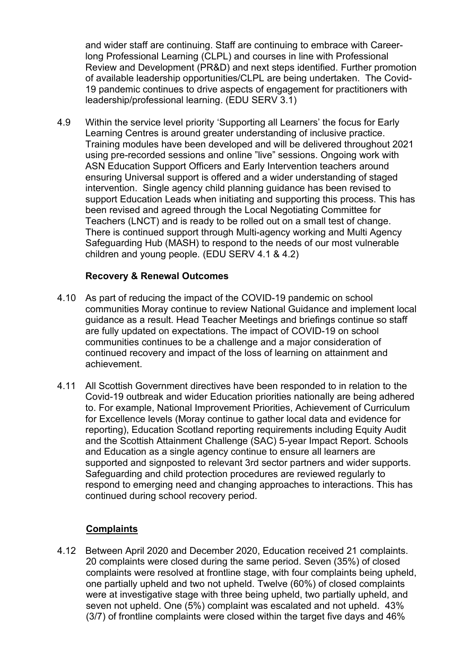and wider staff are continuing. Staff are continuing to embrace with Careerlong Professional Learning (CLPL) and courses in line with Professional Review and Development (PR&D) and next steps identified. Further promotion of available leadership opportunities/CLPL are being undertaken. The Covid-19 pandemic continues to drive aspects of engagement for practitioners with leadership/professional learning. (EDU SERV 3.1)

4.9 Within the service level priority 'Supporting all Learners' the focus for Early Learning Centres is around greater understanding of inclusive practice. Training modules have been developed and will be delivered throughout 2021 using pre-recorded sessions and online "live" sessions. Ongoing work with ASN Education Support Officers and Early Intervention teachers around ensuring Universal support is offered and a wider understanding of staged intervention. Single agency child planning guidance has been revised to support Education Leads when initiating and supporting this process. This has been revised and agreed through the Local Negotiating Committee for Teachers (LNCT) and is ready to be rolled out on a small test of change. There is continued support through Multi-agency working and Multi Agency Safeguarding Hub (MASH) to respond to the needs of our most vulnerable children and young people. (EDU SERV 4.1 & 4.2)

## **Recovery & Renewal Outcomes**

- 4.10 As part of reducing the impact of the COVID-19 pandemic on school communities Moray continue to review National Guidance and implement local guidance as a result. Head Teacher Meetings and briefings continue so staff are fully updated on expectations. The impact of COVID-19 on school communities continues to be a challenge and a major consideration of continued recovery and impact of the loss of learning on attainment and achievement.
- 4.11 All Scottish Government directives have been responded to in relation to the Covid-19 outbreak and wider Education priorities nationally are being adhered to. For example, National Improvement Priorities, Achievement of Curriculum for Excellence levels (Moray continue to gather local data and evidence for reporting), Education Scotland reporting requirements including Equity Audit and the Scottish Attainment Challenge (SAC) 5-year Impact Report. Schools and Education as a single agency continue to ensure all learners are supported and signposted to relevant 3rd sector partners and wider supports. Safeguarding and child protection procedures are reviewed regularly to respond to emerging need and changing approaches to interactions. This has continued during school recovery period.

## **Complaints**

4.12 Between April 2020 and December 2020, Education received 21 complaints. 20 complaints were closed during the same period. Seven (35%) of closed complaints were resolved at frontline stage, with four complaints being upheld, one partially upheld and two not upheld. Twelve (60%) of closed complaints were at investigative stage with three being upheld, two partially upheld, and seven not upheld. One (5%) complaint was escalated and not upheld. 43% (3/7) of frontline complaints were closed within the target five days and 46%